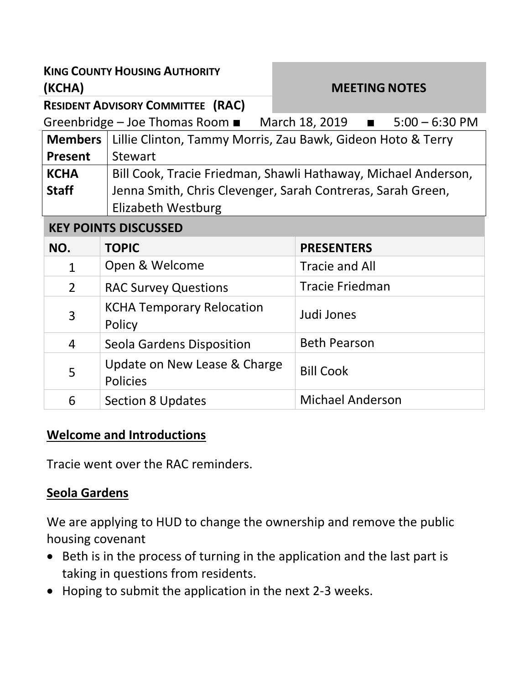| <b>KING COUNTY HOUSING AUTHORITY</b><br>(KCHA)<br><b>RESIDENT ADVISORY COMMITTEE (RAC)</b> |                                                                | <b>MEETING NOTES</b>                                        |
|--------------------------------------------------------------------------------------------|----------------------------------------------------------------|-------------------------------------------------------------|
| Greenbridge – Joe Thomas Room $\blacksquare$                                               |                                                                | March 18, 2019 $\blacksquare$<br>$5:00 - 6:30$ PM           |
| <b>Members</b>                                                                             |                                                                | Lillie Clinton, Tammy Morris, Zau Bawk, Gideon Hoto & Terry |
| <b>Present</b>                                                                             | <b>Stewart</b>                                                 |                                                             |
| <b>KCHA</b>                                                                                | Bill Cook, Tracie Friedman, Shawli Hathaway, Michael Anderson, |                                                             |
| <b>Staff</b>                                                                               | Jenna Smith, Chris Clevenger, Sarah Contreras, Sarah Green,    |                                                             |
|                                                                                            | Elizabeth Westburg                                             |                                                             |
| <b>KEY POINTS DISCUSSED</b>                                                                |                                                                |                                                             |
| NO.                                                                                        | <b>TOPIC</b>                                                   | <b>PRESENTERS</b>                                           |
| $\mathbf{1}$                                                                               | Open & Welcome                                                 | <b>Tracie and All</b>                                       |
| $\overline{2}$                                                                             | <b>RAC Survey Questions</b>                                    | <b>Tracie Friedman</b>                                      |
| 3                                                                                          | <b>KCHA Temporary Relocation</b><br>Policy                     | Judi Jones                                                  |
| $\overline{4}$                                                                             | Seola Gardens Disposition                                      | <b>Beth Pearson</b>                                         |
| 5                                                                                          | Update on New Lease & Charge<br><b>Policies</b>                | <b>Bill Cook</b>                                            |
| 6                                                                                          | <b>Section 8 Updates</b>                                       | <b>Michael Anderson</b>                                     |

### **Welcome and Introductions**

Tracie went over the RAC reminders.

#### **Seola Gardens**

We are applying to HUD to change the ownership and remove the public housing covenant

- Beth is in the process of turning in the application and the last part is taking in questions from residents.
- Hoping to submit the application in the next 2-3 weeks.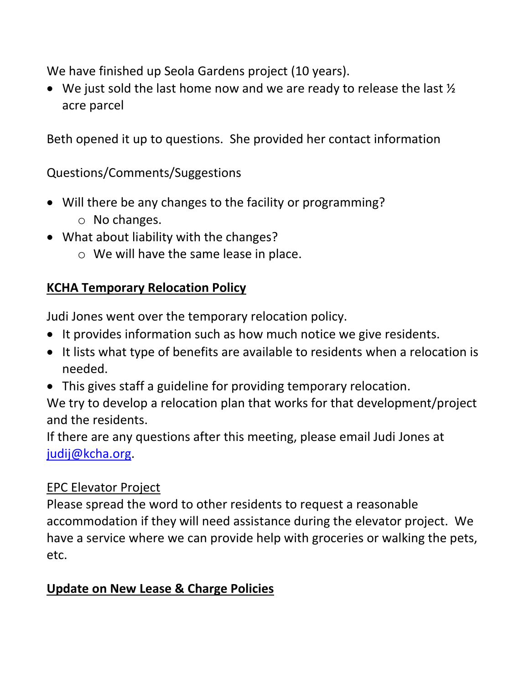We have finished up Seola Gardens project (10 years).

 $\bullet$  We just sold the last home now and we are ready to release the last  $\frac{1}{2}$ acre parcel

Beth opened it up to questions. She provided her contact information

Questions/Comments/Suggestions

- Will there be any changes to the facility or programming?
	- o No changes.
- What about liability with the changes?
	- o We will have the same lease in place.

# **KCHA Temporary Relocation Policy**

Judi Jones went over the temporary relocation policy.

- It provides information such as how much notice we give residents.
- It lists what type of benefits are available to residents when a relocation is needed.
- This gives staff a guideline for providing temporary relocation.

We try to develop a relocation plan that works for that development/project and the residents.

If there are any questions after this meeting, please email Judi Jones at [judij@kcha.org.](mailto:judij@kcha.org)

## EPC Elevator Project

Please spread the word to other residents to request a reasonable accommodation if they will need assistance during the elevator project. We have a service where we can provide help with groceries or walking the pets, etc.

# **Update on New Lease & Charge Policies**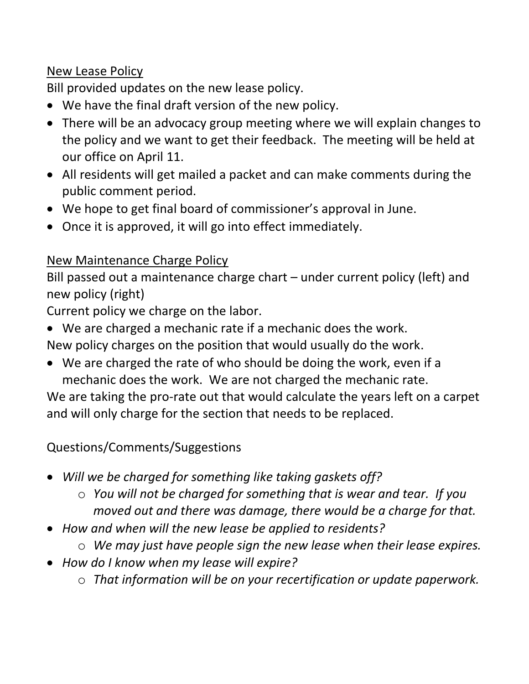### New Lease Policy

Bill provided updates on the new lease policy.

- We have the final draft version of the new policy.
- There will be an advocacy group meeting where we will explain changes to the policy and we want to get their feedback. The meeting will be held at our office on April 11.
- All residents will get mailed a packet and can make comments during the public comment period.
- We hope to get final board of commissioner's approval in June.
- Once it is approved, it will go into effect immediately.

## New Maintenance Charge Policy

Bill passed out a maintenance charge chart – under current policy (left) and new policy (right)

Current policy we charge on the labor.

We are charged a mechanic rate if a mechanic does the work.

New policy charges on the position that would usually do the work.

 We are charged the rate of who should be doing the work, even if a mechanic does the work. We are not charged the mechanic rate.

We are taking the pro-rate out that would calculate the years left on a carpet and will only charge for the section that needs to be replaced.

# Questions/Comments/Suggestions

- *Will we be charged for something like taking gaskets off?*
	- o *You will not be charged for something that is wear and tear. If you moved out and there was damage, there would be a charge for that.*
- *How and when will the new lease be applied to residents?*
	- o *We may just have people sign the new lease when their lease expires.*
- *How do I know when my lease will expire?*
	- o *That information will be on your recertification or update paperwork.*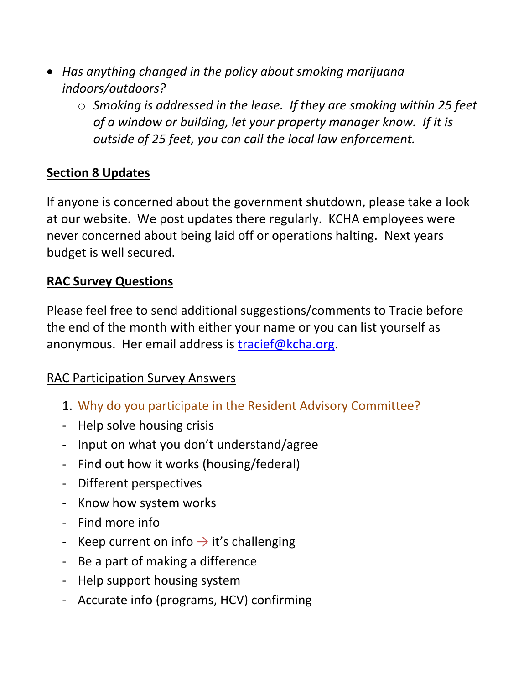- *Has anything changed in the policy about smoking marijuana indoors/outdoors?*
	- o *Smoking is addressed in the lease. If they are smoking within 25 feet of a window or building, let your property manager know. If it is outside of 25 feet, you can call the local law enforcement.*

### **Section 8 Updates**

If anyone is concerned about the government shutdown, please take a look at our website. We post updates there regularly. KCHA employees were never concerned about being laid off or operations halting. Next years budget is well secured.

#### **RAC Survey Questions**

Please feel free to send additional suggestions/comments to Tracie before the end of the month with either your name or you can list yourself as anonymous. Her email address is [tracief@kcha.org.](mailto:tracief@kcha.org)

#### RAC Participation Survey Answers

- 1. Why do you participate in the Resident Advisory Committee?
- Help solve housing crisis
- Input on what you don't understand/agree
- Find out how it works (housing/federal)
- Different perspectives
- Know how system works
- Find more info
- Keep current on info  $\rightarrow$  it's challenging
- Be a part of making a difference
- Help support housing system
- Accurate info (programs, HCV) confirming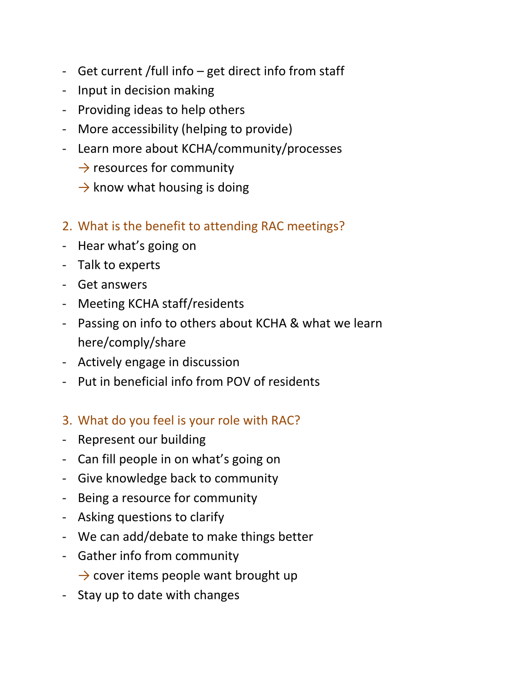- Get current /full info get direct info from staff
- Input in decision making
- Providing ideas to help others
- More accessibility (helping to provide)
- Learn more about KCHA/community/processes
	- $\rightarrow$  resources for community
	- $\rightarrow$  know what housing is doing
- 2. What is the benefit to attending RAC meetings?
- Hear what's going on
- Talk to experts
- Get answers
- Meeting KCHA staff/residents
- Passing on info to others about KCHA & what we learn here/comply/share
- Actively engage in discussion
- Put in beneficial info from POV of residents
- 3. What do you feel is your role with RAC?
- Represent our building
- Can fill people in on what's going on
- Give knowledge back to community
- Being a resource for community
- Asking questions to clarify
- We can add/debate to make things better
- Gather info from community
	- $\rightarrow$  cover items people want brought up
- Stay up to date with changes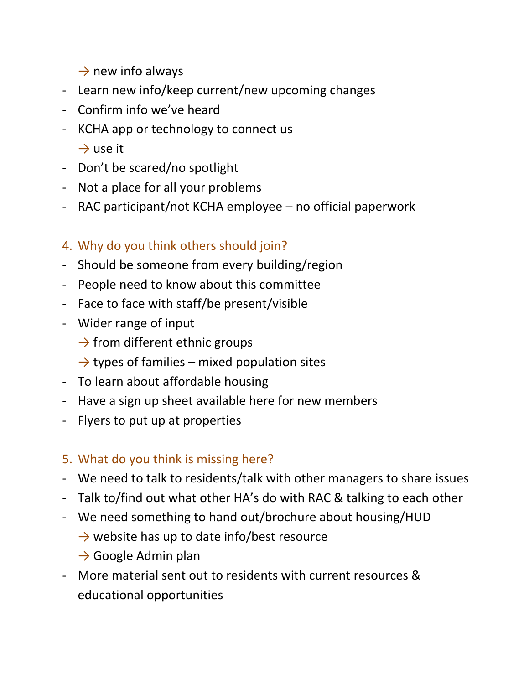$\rightarrow$  new info always

- Learn new info/keep current/new upcoming changes
- Confirm info we've heard
- KCHA app or technology to connect us

 $\rightarrow$  use it

- Don't be scared/no spotlight
- Not a place for all your problems
- RAC participant/not KCHA employee no official paperwork

## 4. Why do you think others should join?

- Should be someone from every building/region
- People need to know about this committee
- Face to face with staff/be present/visible
- Wider range of input
	- $\rightarrow$  from different ethnic groups
	- $\rightarrow$  types of families mixed population sites
- To learn about affordable housing
- Have a sign up sheet available here for new members
- Flyers to put up at properties
- 5. What do you think is missing here?
- We need to talk to residents/talk with other managers to share issues
- Talk to/find out what other HA's do with RAC & talking to each other
- We need something to hand out/brochure about housing/HUD
	- $\rightarrow$  website has up to date info/best resource
	- $\rightarrow$  Google Admin plan
- More material sent out to residents with current resources & educational opportunities